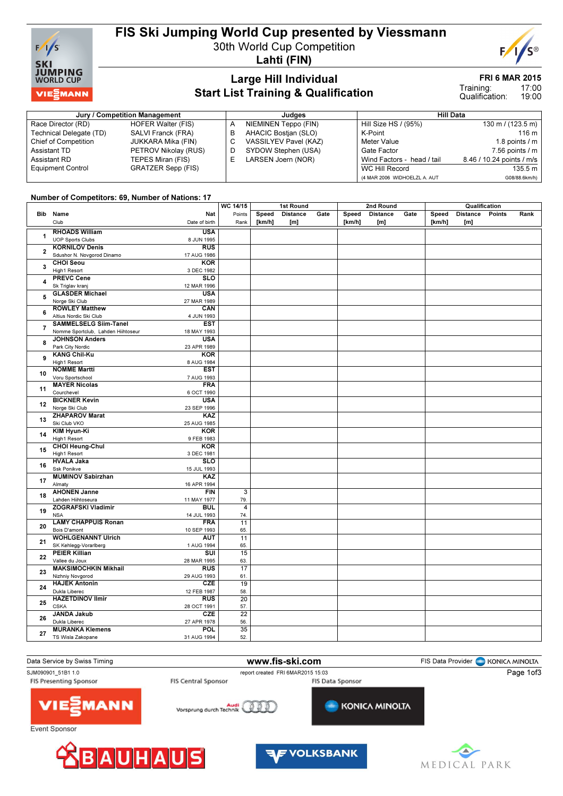

# FIS Ski Jumping World Cup presented by Viessmann

30th World Cup Competition

Lahti (FIN)

### Large Hill Individual Start List Training & Qualification

#### FRI 6 MAR 2015

17:00 19:00 Training: Qualification:

| Jury / Competition Management |                           |   | Judaes                | Hill Data                    |                             |  |  |  |
|-------------------------------|---------------------------|---|-----------------------|------------------------------|-----------------------------|--|--|--|
| Race Director (RD)            | <b>HOFER Walter (FIS)</b> |   | NIEMINEN Teppo (FIN)  | Hill Size HS / (95%)         | $130 \text{ m}$ / (123.5 m) |  |  |  |
| Technical Delegate (TD)       | SALVI Franck (FRA)        |   | AHACIC Bostian (SLO)  | K-Point                      | 116 m                       |  |  |  |
| <b>Chief of Competition</b>   | JUKKARA Mika (FIN)        |   | VASSILYEV Pavel (KAZ) | Meter Value                  | 1.8 points $/m$             |  |  |  |
| Assistant TD                  | PETROV Nikolay (RUS)      |   | SYDOW Stephen (USA)   | Gate Factor                  | $7.56$ points $/ m$         |  |  |  |
| Assistant RD                  | TEPES Miran (FIS)         | ᄂ | LARSEN Joern (NOR)    | Wind Factors - head / tail   | 8.46 / 10.24 points / m/s   |  |  |  |
| <b>Equipment Control</b>      | GRATZER Sepp (FIS)        |   |                       | WC Hill Record               | 135.5 m                     |  |  |  |
|                               |                           |   |                       | (4 MAR 2006 WIDHOELZL A. AUT | G08/88.6km/h)               |  |  |  |

### Number of Competitors: 69, Number of Nations: 17

|                |                                                         | WC 14/15               | 1st Round |                 |      |        | 2nd Round       |      | Qualification |                 |        |      |
|----------------|---------------------------------------------------------|------------------------|-----------|-----------------|------|--------|-----------------|------|---------------|-----------------|--------|------|
|                | Bib Name<br>Nat                                         | Points                 | Speed     | <b>Distance</b> | Gate | Speed  | <b>Distance</b> | Gate | Speed         | <b>Distance</b> | Points | Rank |
|                | Club<br>Date of birth                                   | Rank                   | [km/h]    | [m]             |      | [km/h] | [m]             |      | [km/h]        | [m]             |        |      |
|                |                                                         |                        |           |                 |      |        |                 |      |               |                 |        |      |
| 1              | <b>RHOADS William</b><br><b>USA</b>                     |                        |           |                 |      |        |                 |      |               |                 |        |      |
|                | <b>UOP Sports Clubs</b><br>8 JUN 1995                   |                        |           |                 |      |        |                 |      |               |                 |        |      |
| $\overline{2}$ | <b>KORNILOV Denis</b><br>RUS                            |                        |           |                 |      |        |                 |      |               |                 |        |      |
|                | Sdushor N. Novgorod Dinamo<br>17 AUG 1986               |                        |           |                 |      |        |                 |      |               |                 |        |      |
| 3              | <b>CHOI Seou</b><br><b>KOR</b>                          |                        |           |                 |      |        |                 |      |               |                 |        |      |
|                | High1 Resort<br>3 DEC 1982                              |                        |           |                 |      |        |                 |      |               |                 |        |      |
| 4              | <b>PREVC Cene</b><br><b>SLO</b>                         |                        |           |                 |      |        |                 |      |               |                 |        |      |
|                | Sk Triglav kranj<br>12 MAR 1996                         |                        |           |                 |      |        |                 |      |               |                 |        |      |
| 5              | <b>GLASDER Michael</b><br><b>USA</b>                    |                        |           |                 |      |        |                 |      |               |                 |        |      |
|                | Norge Ski Club<br>27 MAR 1989                           |                        |           |                 |      |        |                 |      |               |                 |        |      |
| 6              | <b>ROWLEY Matthew</b><br>CAN                            |                        |           |                 |      |        |                 |      |               |                 |        |      |
|                | Altius Nordic Ski Club<br>4 JUN 1993                    |                        |           |                 |      |        |                 |      |               |                 |        |      |
| $\overline{7}$ | <b>SAMMELSELG Siim-Tanel</b><br><b>EST</b>              |                        |           |                 |      |        |                 |      |               |                 |        |      |
|                | Nomme Sportclub, Lahden Hiihtoseur<br>18 MAY 1993       |                        |           |                 |      |        |                 |      |               |                 |        |      |
| 8              | <b>JOHNSON Anders</b><br><b>USA</b>                     |                        |           |                 |      |        |                 |      |               |                 |        |      |
|                | Park City Nordic<br>23 APR 1989                         |                        |           |                 |      |        |                 |      |               |                 |        |      |
|                | <b>KANG Chil-Ku</b><br><b>KOR</b>                       |                        |           |                 |      |        |                 |      |               |                 |        |      |
| 9              | High1 Resort<br>8 AUG 1984                              |                        |           |                 |      |        |                 |      |               |                 |        |      |
|                | <b>NOMME Martti</b><br><b>EST</b>                       |                        |           |                 |      |        |                 |      |               |                 |        |      |
| 10             | Voru Sportschool<br>7 AUG 1993                          |                        |           |                 |      |        |                 |      |               |                 |        |      |
|                | <b>MAYER Nicolas</b><br><b>FRA</b>                      |                        |           |                 |      |        |                 |      |               |                 |        |      |
| 11             | Courchevel<br>6 OCT 1990                                |                        |           |                 |      |        |                 |      |               |                 |        |      |
|                | <b>BICKNER Kevin</b><br><b>USA</b>                      |                        |           |                 |      |        |                 |      |               |                 |        |      |
| 12             | Norge Ski Club<br>23 SEP 1996                           |                        |           |                 |      |        |                 |      |               |                 |        |      |
|                | <b>ZHAPAROV Marat</b><br>KAZ                            |                        |           |                 |      |        |                 |      |               |                 |        |      |
| 13             | Ski Club VKO<br>25 AUG 1985                             |                        |           |                 |      |        |                 |      |               |                 |        |      |
| 14             | KIM Hyun-Ki<br><b>KOR</b>                               |                        |           |                 |      |        |                 |      |               |                 |        |      |
|                | High1 Resort<br>9 FEB 1983                              |                        |           |                 |      |        |                 |      |               |                 |        |      |
|                | <b>CHOI Heung-Chul</b><br><b>KOR</b>                    |                        |           |                 |      |        |                 |      |               |                 |        |      |
| 15             | High1 Resort<br>3 DEC 1981                              |                        |           |                 |      |        |                 |      |               |                 |        |      |
|                | <b>HVALA Jaka</b><br><b>SLO</b>                         |                        |           |                 |      |        |                 |      |               |                 |        |      |
| 16             | Ssk Ponikve<br>15 JUL 1993                              |                        |           |                 |      |        |                 |      |               |                 |        |      |
|                | <b>MUMINOV Sabirzhan</b><br>KAZ                         |                        |           |                 |      |        |                 |      |               |                 |        |      |
| 17             | Almaty<br>16 APR 1994                                   |                        |           |                 |      |        |                 |      |               |                 |        |      |
|                | <b>AHONEN Janne</b><br><b>FIN</b>                       | 3                      |           |                 |      |        |                 |      |               |                 |        |      |
| 18             | Lahden Hiihtoseura<br>11 MAY 1977                       | 79.                    |           |                 |      |        |                 |      |               |                 |        |      |
|                | <b>ZOGRAFSKI Vladimir</b><br><b>BUL</b>                 | $\overline{4}$         |           |                 |      |        |                 |      |               |                 |        |      |
| 19             | <b>NSA</b>                                              |                        |           |                 |      |        |                 |      |               |                 |        |      |
|                | 14 JUL 1993<br><b>LAMY CHAPPUIS Ronan</b><br><b>FRA</b> | 74.<br>11              |           |                 |      |        |                 |      |               |                 |        |      |
| 20             | Bois D'amont                                            |                        |           |                 |      |        |                 |      |               |                 |        |      |
|                | 10 SEP 1993<br><b>WOHLGENANNT Ulrich</b><br><b>AUT</b>  | 65.<br>11              |           |                 |      |        |                 |      |               |                 |        |      |
| 21             |                                                         |                        |           |                 |      |        |                 |      |               |                 |        |      |
|                | SK Kehlegg-Vorarlberg<br>1 AUG 1994                     | 65.<br>$\overline{15}$ |           |                 |      |        |                 |      |               |                 |        |      |
| 22             | <b>PEIER Killian</b><br>$\overline{\text{SUI}}$         |                        |           |                 |      |        |                 |      |               |                 |        |      |
| 23             | Vallee du Joux<br>28 MAR 1995                           | 63.                    |           |                 |      |        |                 |      |               |                 |        |      |
|                | <b>MAKSIMOCHKIN Mikhail</b><br><b>RUS</b>               | 17                     |           |                 |      |        |                 |      |               |                 |        |      |
|                | Nizhniy Novgorod<br>29 AUG 1993                         | 61.                    |           |                 |      |        |                 |      |               |                 |        |      |
| 24             | <b>HAJEK Antonin</b><br>CZE                             | 19                     |           |                 |      |        |                 |      |               |                 |        |      |
|                | Dukla Liberec<br>12 FEB 1987                            | 58.                    |           |                 |      |        |                 |      |               |                 |        |      |
| 25             | <b>HAZETDINOV Ilmir</b><br><b>RUS</b>                   | 20                     |           |                 |      |        |                 |      |               |                 |        |      |
|                | <b>CSKA</b><br>28 OCT 1991                              | 57.                    |           |                 |      |        |                 |      |               |                 |        |      |
| 26             | <b>JANDA Jakub</b><br>CZE                               | $\overline{22}$        |           |                 |      |        |                 |      |               |                 |        |      |
|                | Dukla Liberec<br>27 APR 1978                            | 56.                    |           |                 |      |        |                 |      |               |                 |        |      |
| 27             | <b>MURANKA Klemens</b><br><b>POL</b>                    | 35                     |           |                 |      |        |                 |      |               |                 |        |      |
|                | TS Wisla Zakopane<br>31 AUG 1994                        | 52.                    |           |                 |      |        |                 |      |               |                 |        |      |







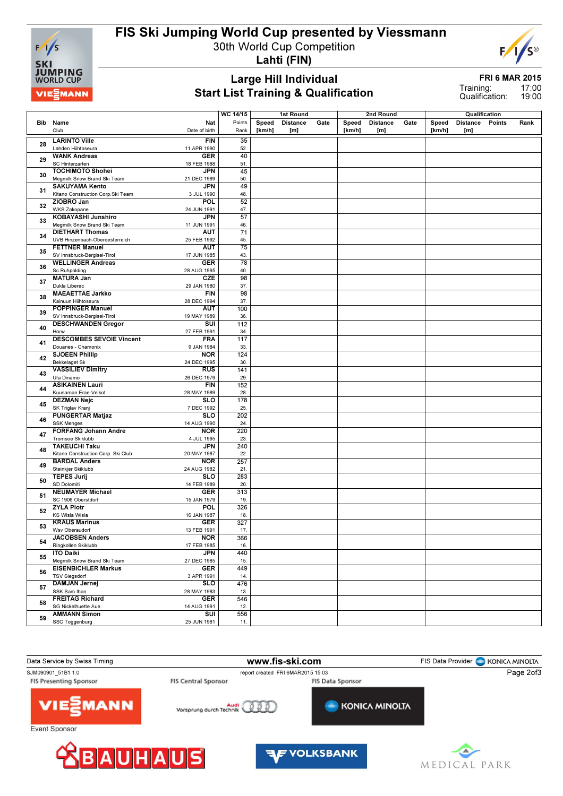

## FIS Ski Jumping World Cup presented by Viessmann

30th World Cup Competition



# F

### Large Hill Individual Start List Training & Qualification

FRI 6 MAR 2015

17:00 19:00 Training: Qualification:

|    |                                                                               | $\overline{WC 14/15}$ |        | 1st Round       |      |        | 2nd Round       |      |        | Qualification   |               |      |
|----|-------------------------------------------------------------------------------|-----------------------|--------|-----------------|------|--------|-----------------|------|--------|-----------------|---------------|------|
|    | Bib Name<br>Nat<br>Date of birth                                              | Points                | Speed  | <b>Distance</b> | Gate | Speed  | <b>Distance</b> | Gate | Speed  | <b>Distance</b> | <b>Points</b> | Rank |
|    | Club                                                                          | Rank                  | [km/h] | [m]             |      | [km/h] | [m]             |      | [km/h] | [m]             |               |      |
| 28 | <b>LARINTO Ville</b><br><b>FIN</b>                                            | 35                    |        |                 |      |        |                 |      |        |                 |               |      |
|    | Lahden Hiihtoseura<br>11 APR 1990<br><b>WANK Andreas</b><br><b>GER</b>        | 52.<br>40             |        |                 |      |        |                 |      |        |                 |               |      |
| 29 | SC Hinterzarten<br>18 FEB 1988                                                | 51.                   |        |                 |      |        |                 |      |        |                 |               |      |
|    | <b>TOCHIMOTO Shohei</b><br><b>JPN</b>                                         | 45                    |        |                 |      |        |                 |      |        |                 |               |      |
| 30 | Megmilk Snow Brand Ski Team<br>21 DEC 1989                                    | 50.                   |        |                 |      |        |                 |      |        |                 |               |      |
| 31 | <b>SAKUYAMA Kento</b><br><b>JPN</b>                                           | 49                    |        |                 |      |        |                 |      |        |                 |               |      |
|    | Kitano Construction Corp.Ski Team<br>3 JUL 1990                               | 48.                   |        |                 |      |        |                 |      |        |                 |               |      |
| 32 | ZIOBRO Jan<br><b>POL</b>                                                      | 52                    |        |                 |      |        |                 |      |        |                 |               |      |
|    | <b>WKS Zakopane</b><br>24 JUN 1991<br><b>KOBAYASHI Junshiro</b><br><b>JPN</b> | 47.<br>57             |        |                 |      |        |                 |      |        |                 |               |      |
| 33 | Megmilk Snow Brand Ski Team<br>11 JUN 1991                                    | 46.                   |        |                 |      |        |                 |      |        |                 |               |      |
|    | <b>DIETHART Thomas</b><br><b>AUT</b>                                          | $\overline{71}$       |        |                 |      |        |                 |      |        |                 |               |      |
| 34 | UVB Hinzenbach-Oberoesterreich<br>25 FEB 1992                                 | 45.                   |        |                 |      |        |                 |      |        |                 |               |      |
| 35 | <b>FETTNER Manuel</b><br><b>AUT</b>                                           | $\overline{75}$       |        |                 |      |        |                 |      |        |                 |               |      |
|    | SV Innsbruck-Bergisel-Tirol<br>17 JUN 1985                                    | 43.                   |        |                 |      |        |                 |      |        |                 |               |      |
| 36 | <b>WELLINGER Andreas</b><br><b>GER</b>                                        | 78                    |        |                 |      |        |                 |      |        |                 |               |      |
|    | Sc Ruhpolding<br>28 AUG 1995                                                  | 40.                   |        |                 |      |        |                 |      |        |                 |               |      |
| 37 | <b>MATURA Jan</b><br>CZE<br>Dukla Liberec<br>29 JAN 1980                      | 98<br>37.             |        |                 |      |        |                 |      |        |                 |               |      |
|    | <b>MAEAETTAE Jarkko</b><br><b>FIN</b>                                         | 98                    |        |                 |      |        |                 |      |        |                 |               |      |
| 38 | Kainuun Hiihtoseura<br>28 DEC 1994                                            | 37.                   |        |                 |      |        |                 |      |        |                 |               |      |
|    | <b>POPPINGER Manuel</b><br><b>AUT</b>                                         | 100                   |        |                 |      |        |                 |      |        |                 |               |      |
| 39 | SV Innsbruck-Bergisel-Tirol<br>19 MAY 1989                                    | 36.                   |        |                 |      |        |                 |      |        |                 |               |      |
| 40 | <b>DESCHWANDEN Gregor</b><br>SUI                                              | 112                   |        |                 |      |        |                 |      |        |                 |               |      |
|    | Horw<br>27 FEB 1991<br><b>DESCOMBES SEVOIE Vincent</b><br><b>FRA</b>          | 34.<br>117            |        |                 |      |        |                 |      |        |                 |               |      |
| 41 | Douanes - Chamonix<br>9 JAN 1984                                              | 33.                   |        |                 |      |        |                 |      |        |                 |               |      |
|    | <b>SJOEEN Phillip</b><br><b>NOR</b>                                           | 124                   |        |                 |      |        |                 |      |        |                 |               |      |
| 42 | <b>Bekkelaget Sk</b><br>24 DEC 1995                                           | 30.                   |        |                 |      |        |                 |      |        |                 |               |      |
| 43 | <b>RUS</b><br><b>VASSILIEV Dimitry</b>                                        | 141                   |        |                 |      |        |                 |      |        |                 |               |      |
|    | Ufa Dinamo<br>26 DEC 1979                                                     | 29.                   |        |                 |      |        |                 |      |        |                 |               |      |
| 44 | <b>ASIKAINEN Lauri</b><br><b>FIN</b><br>Kuusamon Erae-Veikot<br>28 MAY 1989   | 152<br>28.            |        |                 |      |        |                 |      |        |                 |               |      |
|    | <b>DEZMAN Nejc</b><br><b>SLO</b>                                              | 178                   |        |                 |      |        |                 |      |        |                 |               |      |
| 45 | SK Triglav Kranj<br>7 DEC 1992                                                | 25.                   |        |                 |      |        |                 |      |        |                 |               |      |
| 46 | <b>PUNGERTAR Matjaz</b><br><b>SLO</b>                                         | 202                   |        |                 |      |        |                 |      |        |                 |               |      |
|    | <b>SSK Menges</b><br>14 AUG 1990                                              | 24.                   |        |                 |      |        |                 |      |        |                 |               |      |
| 47 | <b>FORFANG Johann Andre</b><br><b>NOR</b><br>Tromsoe Skiklubb                 | 220<br>23.            |        |                 |      |        |                 |      |        |                 |               |      |
|    | 4 JUL 1995<br><b>TAKEUCHI Taku</b><br><b>JPN</b>                              | 240                   |        |                 |      |        |                 |      |        |                 |               |      |
| 48 | Kitano Construction Corp. Ski Club<br>20 MAY 1987                             | 22.                   |        |                 |      |        |                 |      |        |                 |               |      |
|    | <b>BARDAL Anders</b><br><b>NOR</b>                                            | 257                   |        |                 |      |        |                 |      |        |                 |               |      |
| 49 | Steinkjer Skiklubb<br>24 AUG 1982                                             | 21.                   |        |                 |      |        |                 |      |        |                 |               |      |
| 50 | <b>TEPES Jurij</b><br><b>SLO</b><br>SD Dolomiti                               | 283                   |        |                 |      |        |                 |      |        |                 |               |      |
|    | 14 FEB 1989<br><b>NEUMAYER Michael</b><br><b>GER</b>                          | 20.<br>313            |        |                 |      |        |                 |      |        |                 |               |      |
| 51 | SC 1906 Oberstdorf<br>15 JAN 1979                                             | 19.                   |        |                 |      |        |                 |      |        |                 |               |      |
|    | <b>POL</b><br><b>ZYLA Piotr</b>                                               | 326                   |        |                 |      |        |                 |      |        |                 |               |      |
| 52 | KS Wisla Wisla<br>16 JAN 1987                                                 | 18.                   |        |                 |      |        |                 |      |        |                 |               |      |
| 53 | <b>KRAUS Marinus</b><br><b>GER</b>                                            | 327                   |        |                 |      |        |                 |      |        |                 |               |      |
|    | Wsv Oberaudorf<br>13 FEB 1991<br><b>JACOBSEN Anders</b>                       | 17.                   |        |                 |      |        |                 |      |        |                 |               |      |
| 54 | <b>NOR</b><br>Ringkollen Skiklubb<br>17 FEB 1985                              | 366<br>16.            |        |                 |      |        |                 |      |        |                 |               |      |
|    | <b>ITO Daiki</b><br>JPN                                                       | 440                   |        |                 |      |        |                 |      |        |                 |               |      |
| 55 | Megmilk Snow Brand Ski Team<br>27 DEC 1985                                    | 15.                   |        |                 |      |        |                 |      |        |                 |               |      |
| 56 | <b>EISENBICHLER Markus</b><br>GER                                             | 449                   |        |                 |      |        |                 |      |        |                 |               |      |
|    | <b>TSV Siegsdorf</b><br>3 APR 1991                                            | 14.                   |        |                 |      |        |                 |      |        |                 |               |      |
| 57 | <b>DAMJAN Jernej</b><br><b>SLO</b><br>SSK Sam Ihan<br>28 MAY 1983             | 476<br>13.            |        |                 |      |        |                 |      |        |                 |               |      |
|    | <b>FREITAG Richard</b><br><b>GER</b>                                          | 546                   |        |                 |      |        |                 |      |        |                 |               |      |
| 58 | SG Nickelhuette Aue<br>14 AUG 1991                                            | 12.                   |        |                 |      |        |                 |      |        |                 |               |      |
| 59 | <b>AMMANN Simon</b><br>SUI                                                    | 556                   |        |                 |      |        |                 |      |        |                 |               |      |
|    | SSC Toggenburg<br>25 JUN 1981                                                 | 11.                   |        |                 |      |        |                 |      |        |                 |               |      |